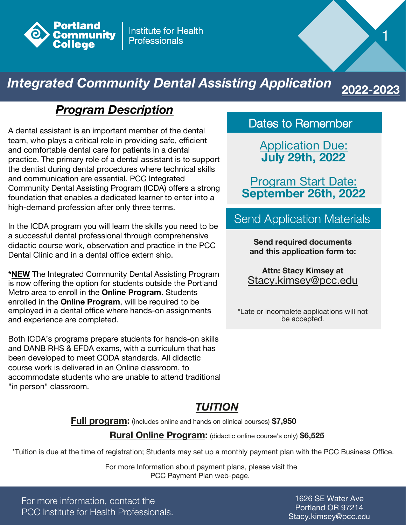

**Institute for Health Professionals** 

# *Integrated Community Dental Assisting Application*

### *Program Description*

A dental assistant is an important member of the dental team, who plays a critical role in providing safe, efficient and comfortable dental care for patients in a dental practice. The primary role of a dental assistant is to support the dentist during dental procedures where technical skills and communication are essential. PCC Integrated Community Dental Assisting Program (ICDA) offers a strong foundation that enables a dedicated learner to enter into a high-demand profession after only three terms.

In the ICDA program you will learn the skills you need to be a successful dental professional through comprehensive didactic course work, observation and practice in the PCC Dental Clinic and in a dental office extern ship.

**\*NEW** The Integrated Community Dental Assisting Program is now offering the option for students outside the Portland Metro area to enroll in the **Online Program**. Students enrolled in the **Online Program**, will be required to be employed in a dental office where hands-on assignments and experience are completed.

Both ICDA's programs prepare students for hands-on skills and DANB RHS & EFDA exams, with a curriculum that has been developed to meet CODA standards. All didactic course work is delivered in an Online classroom, to accommodate students who are unable to attend traditional "in person" classroom.

Dates to Remember

1

2022-

Application Due: **July 29th, 2022**

Program Start Date: **September 26th, 2022**

Send Application Materials

**Send required documents and this application form to:** 

**Attn: Stacy Kimsey at** Stacy.kimsey@pcc.edu

\*Late or incomplete applications will not be accepted.

### *TUITION*

**Full program:** (includes online and hands on clinical courses) **\$7,950**

**Rural Online Program:** (didactic online course's only) **\$6,525**

\*Tuition is due at the time of registration; Students may set up a monthly payment plan with the PCC Business Office.

 For more Information about payment plans, please visit the PCC Payment Plan web-page.

For more information, contact the PCC Institute for Health Professionals.

1626 SE Water Ave Portland OR 97214 Stacy.kimsey@pcc.edu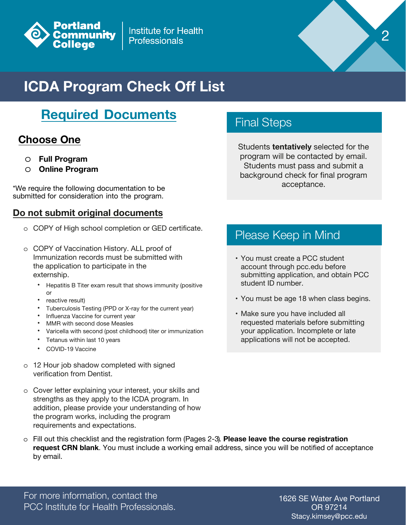

**Institute for Health Professionals** 

# **ICDA Program Check Off List**

## **Required Documents**

### **Choose One**

- o **Full Program**
- o **Online Program**

\*We require the following documentation to be submitted for consideration into the program.

#### **Do not submit original documents**

- o COPY of High school completion or GED certificate.
- o COPY of Vaccination History. ALL proof of Immunization records must be submitted with the application to participate in the externship.
	- Hepatitis B Titer exam result that shows immunity (positive or
	- reactive result)
	- Tuberculosis Testing (PPD or X-ray for the current year)
	- Influenza Vaccine for current year
	- MMR with second dose Measles
	- Varicella with second (post childhood) titer or immunization
	- Tetanus within last 10 years
	- COVID-19 Vaccine
- o 12 Hour job shadow completed with signed verification from Dentist.
- o Cover letter explaining your interest, your skills and strengths as they apply to the ICDA program. In addition, please provide your understanding of how the program works, including the program requirements and expectations.

### Final Steps

Students **tentatively** selected for the program will be contacted by email. Students must pass and submit a background check for final program acceptance.

2

### Please Keep in Mind

- You must create a PCC student account through pcc.edu before submitting application, and obtain PCC student ID number.
- You must be age 18 when class begins.
- Make sure you have included all requested materials before submitting your application. Incomplete or late applications will not be accepted.

o Fill out this checklist and the registration form (Pages 2-3). **Please leave the course registration request CRN blank**. You must include a working email address, since you will be notified of acceptance by email.

For more information, contact the PCC Institute for Health Professionals.

1626 SE Water Ave Portland OR 97214 Stacy.kimsey@pcc.edu